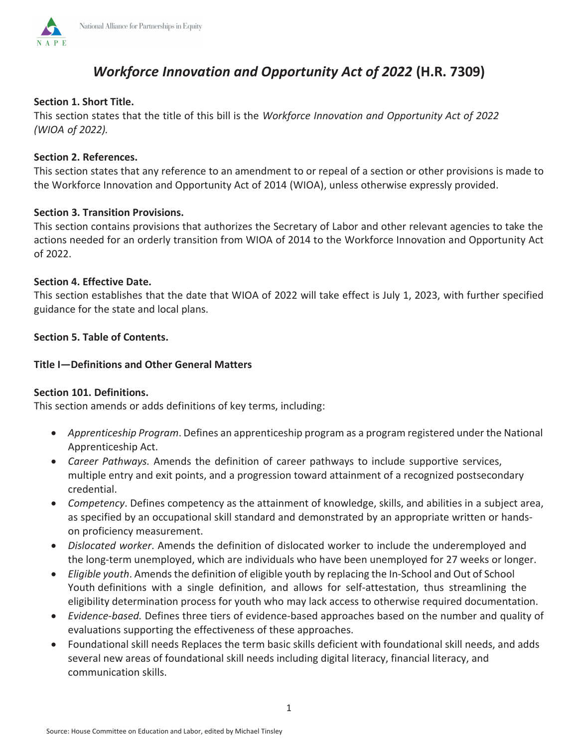

#### **Section 1. Short Title.**

**NAPE** 

This section states that the title of this bill is the *Workforce Innovation and Opportunity Act of 2022 (WIOA of 2022).*

### **Section 2. References.**

This section states that any reference to an amendment to or repeal of a section or other provisions is made to the Workforce Innovation and Opportunity Act of 2014 (WIOA), unless otherwise expressly provided.

### **Section 3. Transition Provisions.**

This section contains provisions that authorizes the Secretary of Labor and other relevant agencies to take the actions needed for an orderly transition from WIOA of 2014 to the Workforce Innovation and Opportunity Act of 2022.

#### **Section 4. Effective Date.**

This section establishes that the date that WIOA of 2022 will take effect is July 1, 2023, with further specified guidance for the state and local plans.

### **Section 5. Table of Contents.**

#### **Title I—Definitions and Other General Matters**

#### **Section 101. Definitions.**

This section amends or adds definitions of key terms, including:

- **•** Apprenticeship Program. Defines an apprenticeship program as a program registered under the National Apprenticeship Act.
- **•** *Career Pathways.* Amends the definition of career pathways to include supportive services, multiple entry and exit points, and a progression toward attainment of a recognized postsecondary credential.
- *Competency*. Defines competency as the attainment of knowledge, skills, and abilities in a subject area, as specified by an occupational skill standard and demonstrated by an appropriate written or handson proficiency measurement.
- x *Dislocated worker*. Amends the definition of dislocated worker to include the underemployed and the long-term unemployed, which are individuals who have been unemployed for 27 weeks or longer.
- **Eligible youth.** Amends the definition of eligible youth by replacing the In-School and Out of School Youth definitions with a single definition, and allows for self-attestation, thus streamlining the eligibility determination process for youth who may lack access to otherwise required documentation.
- x *Evidence-based.* Defines three tiers of evidence-based approaches based on the number and quality of evaluations supporting the effectiveness of these approaches.
- Foundational skill needs Replaces the term basic skills deficient with foundational skill needs, and adds several new areas of foundational skill needs including digital literacy, financial literacy, and communication skills.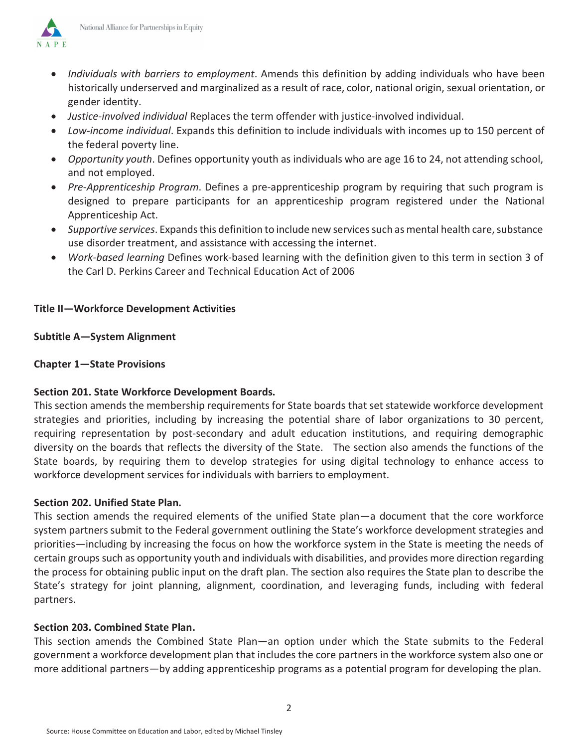

- x *Individuals with barriers to employment*. Amends this definition by adding individuals who have been historically underserved and marginalized as a result of race, color, national origin, sexual orientation, or gender identity.
- x *Justice-involved individual* Replaces the term offender with justice-involved individual.
- x *Low-income individual*. Expands this definition to include individuals with incomes up to 150 percent of the federal poverty line.
- x *Opportunity youth*. Defines opportunity youth as individuals who are age 16 to 24, not attending school, and not employed.
- x *Pre*-*Apprenticeship Program*. Defines a pre-apprenticeship program by requiring that such program is designed to prepare participants for an apprenticeship program registered under the National Apprenticeship Act.
- x *Supportive services*. Expands this definition to include new services such as mental health care, substance use disorder treatment, and assistance with accessing the internet.
- x *Work-based learning* Defines work-based learning with the definition given to this term in section 3 of the Carl D. Perkins Career and Technical Education Act of 2006

# **Title II—Workforce Development Activities**

### **Subtitle A—System Alignment**

### **Chapter 1—State Provisions**

# **Section 201. State Workforce Development Boards.**

This section amends the membership requirements for State boards that set statewide workforce development strategies and priorities, including by increasing the potential share of labor organizations to 30 percent, requiring representation by post-secondary and adult education institutions, and requiring demographic diversity on the boards that reflects the diversity of the State. The section also amends the functions of the State boards, by requiring them to develop strategies for using digital technology to enhance access to workforce development services for individuals with barriers to employment.

#### **Section 202. Unified State Plan.**

This section amends the required elements of the unified State plan—a document that the core workforce system partners submit to the Federal government outlining the State's workforce development strategies and priorities—including by increasing the focus on how the workforce system in the State is meeting the needs of certain groups such as opportunity youth and individuals with disabilities, and provides more direction regarding the process for obtaining public input on the draft plan. The section also requires the State plan to describe the State's strategy for joint planning, alignment, coordination, and leveraging funds, including with federal partners.

#### **Section 203. Combined State Plan.**

This section amends the Combined State Plan—an option under which the State submits to the Federal government a workforce development plan that includes the core partners in the workforce system also one or more additional partners—by adding apprenticeship programs as a potential program for developing the plan.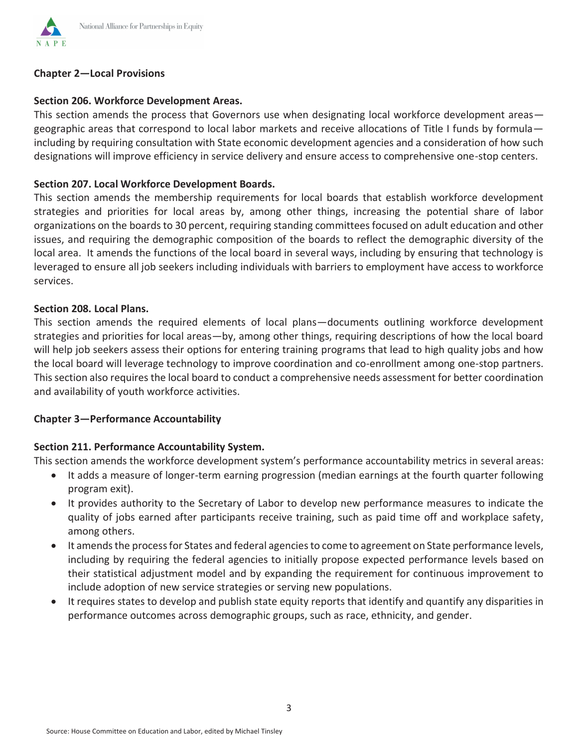

### **Chapter 2—Local Provisions**

### **Section 206. Workforce Development Areas.**

This section amends the process that Governors use when designating local workforce development areas geographic areas that correspond to local labor markets and receive allocations of Title I funds by formula including by requiring consultation with State economic development agencies and a consideration of how such designations will improve efficiency in service delivery and ensure access to comprehensive one-stop centers.

#### **Section 207. Local Workforce Development Boards.**

This section amends the membership requirements for local boards that establish workforce development strategies and priorities for local areas by, among other things, increasing the potential share of labor organizations on the boards to 30 percent, requiring standing committees focused on adult education and other issues, and requiring the demographic composition of the boards to reflect the demographic diversity of the local area. It amends the functions of the local board in several ways, including by ensuring that technology is leveraged to ensure all job seekers including individuals with barriers to employment have access to workforce services.

#### **Section 208. Local Plans.**

This section amends the required elements of local plans—documents outlining workforce development strategies and priorities for local areas—by, among other things, requiring descriptions of how the local board will help job seekers assess their options for entering training programs that lead to high quality jobs and how the local board will leverage technology to improve coordination and co-enrollment among one-stop partners. This section also requires the local board to conduct a comprehensive needs assessment for better coordination and availability of youth workforce activities.

#### **Chapter 3—Performance Accountability**

#### **Section 211. Performance Accountability System.**

This section amends the workforce development system's performance accountability metrics in several areas:

- It adds a measure of longer-term earning progression (median earnings at the fourth quarter following program exit).
- It provides authority to the Secretary of Labor to develop new performance measures to indicate the quality of jobs earned after participants receive training, such as paid time off and workplace safety, among others.
- It amends the process for States and federal agencies to come to agreement on State performance levels, including by requiring the federal agencies to initially propose expected performance levels based on their statistical adjustment model and by expanding the requirement for continuous improvement to include adoption of new service strategies or serving new populations.
- It requires states to develop and publish state equity reports that identify and quantify any disparities in performance outcomes across demographic groups, such as race, ethnicity, and gender.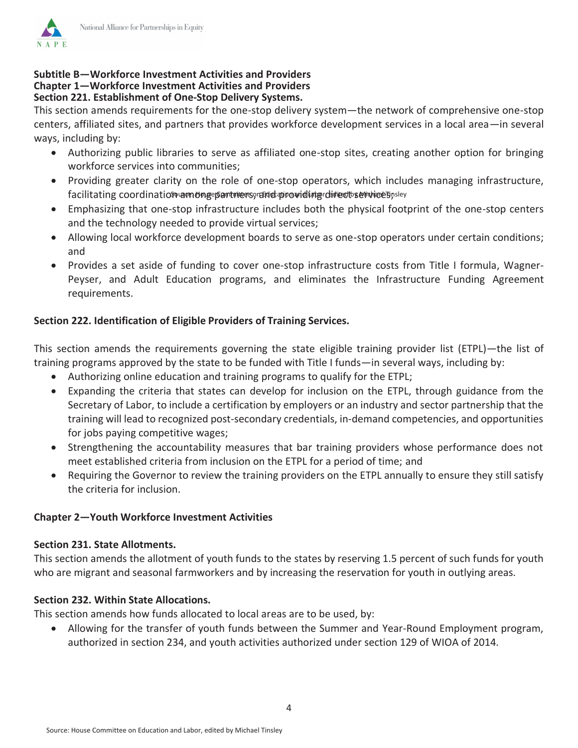

### **Subtitle B—Workforce Investment Activities and Providers Chapter 1—Workforce Investment Activities and Providers Section 221. Establishment of One-Stop Delivery Systems.**

This section amends requirements for the one-stop delivery system—the network of comprehensive one-stop centers, affiliated sites, and partners that provides workforce development services in a local area—in several ways, including by:

- Authorizing public libraries to serve as affiliated one-stop sites, creating another option for bringing workforce services into communities;
- Providing greater clarity on the role of one-stop operators, which includes managing infrastructure, facilitating coordinatio\$,and preepartners, and providing direct service 5, sley
- Emphasizing that one-stop infrastructure includes both the physical footprint of the one-stop centers and the technology needed to provide virtual services;
- Allowing local workforce development boards to serve as one-stop operators under certain conditions; and
- Provides a set aside of funding to cover one-stop infrastructure costs from Title I formula, Wagner-Peyser, and Adult Education programs, and eliminates the Infrastructure Funding Agreement requirements.

# **Section 222. Identification of Eligible Providers of Training Services.**

This section amends the requirements governing the state eligible training provider list (ETPL)—the list of training programs approved by the state to be funded with Title I funds—in several ways, including by:

- Authorizing online education and training programs to qualify for the ETPL;
- Expanding the criteria that states can develop for inclusion on the ETPL, through guidance from the Secretary of Labor, to include a certification by employers or an industry and sector partnership that the training will lead to recognized post-secondary credentials, in-demand competencies, and opportunities for jobs paying competitive wages;
- Strengthening the accountability measures that bar training providers whose performance does not meet established criteria from inclusion on the ETPL for a period of time; and
- x Requiring the Governor to review the training providers on the ETPL annually to ensure they still satisfy the criteria for inclusion.

# **Chapter 2—Youth Workforce Investment Activities**

# **Section 231. State Allotments.**

This section amends the allotment of youth funds to the states by reserving 1.5 percent of such funds for youth who are migrant and seasonal farmworkers and by increasing the reservation for youth in outlying areas.

# **Section 232. Within State Allocations.**

This section amends how funds allocated to local areas are to be used, by:

Allowing for the transfer of youth funds between the Summer and Year-Round Employment program, authorized in section 234, and youth activities authorized under section 129 of WIOA of 2014.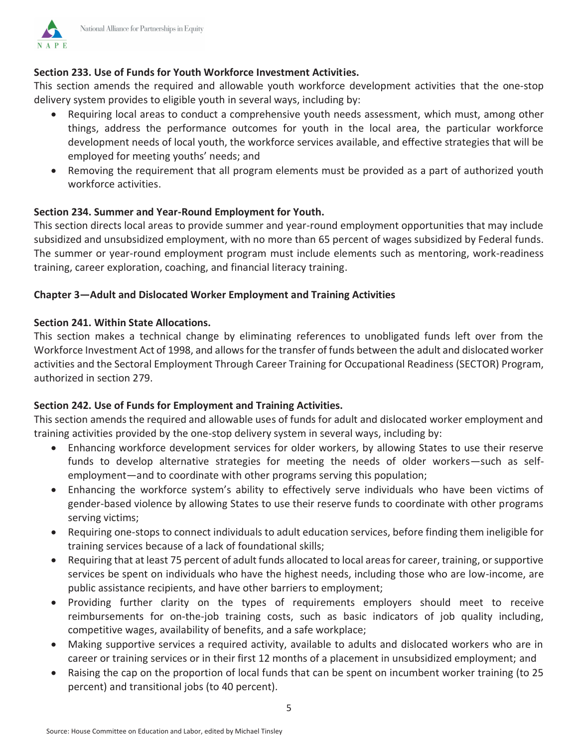

## Section 233. Use of Funds for Youth Workforce Investment Activities.

This section amends the required and allowable youth workforce development activities that the one-stop delivery system provides to eligible youth in several ways, including by:

- Requiring local areas to conduct a comprehensive youth needs assessment, which must, among other  $\bullet$ things, address the performance outcomes for youth in the local area, the particular workforce development needs of local youth, the workforce services available, and effective strategies that will be employed for meeting youths' needs; and
- Removing the requirement that all program elements must be provided as a part of authorized youth workforce activities.

#### Section 234. Summer and Year-Round Employment for Youth.

This section directs local areas to provide summer and year-round employment opportunities that may include subsidized and unsubsidized employment, with no more than 65 percent of wages subsidized by Federal funds. The summer or year-round employment program must include elements such as mentoring, work-readiness training, career exploration, coaching, and financial literacy training.

### Chapter 3-Adult and Dislocated Worker Employment and Training Activities

#### Section 241. Within State Allocations.

This section makes a technical change by eliminating references to unobligated funds left over from the Workforce Investment Act of 1998, and allows for the transfer of funds between the adult and dislocated worker activities and the Sectoral Employment Through Career Training for Occupational Readiness (SECTOR) Program, authorized in section 279.

# Section 242. Use of Funds for Employment and Training Activities.

This section amends the required and allowable uses of funds for adult and dislocated worker employment and training activities provided by the one-stop delivery system in several ways, including by:

- Enhancing workforce development services for older workers, by allowing States to use their reserve funds to develop alternative strategies for meeting the needs of older workers-such as selfemployment—and to coordinate with other programs serving this population;
- Enhancing the workforce system's ability to effectively serve individuals who have been victims of gender-based violence by allowing States to use their reserve funds to coordinate with other programs serving victims;
- Requiring one-stops to connect individuals to adult education services, before finding them ineligible for training services because of a lack of foundational skills;
- Requiring that at least 75 percent of adult funds allocated to local areas for career, training, or supportive services be spent on individuals who have the highest needs, including those who are low-income, are public assistance recipients, and have other barriers to employment;
- Providing further clarity on the types of requirements employers should meet to receive  $\bullet$ reimbursements for on-the-job training costs, such as basic indicators of job quality including, competitive wages, availability of benefits, and a safe workplace;
- Making supportive services a required activity, available to adults and dislocated workers who are in career or training services or in their first 12 months of a placement in unsubsidized employment; and
- Raising the cap on the proportion of local funds that can be spent on incumbent worker training (to 25 percent) and transitional jobs (to 40 percent).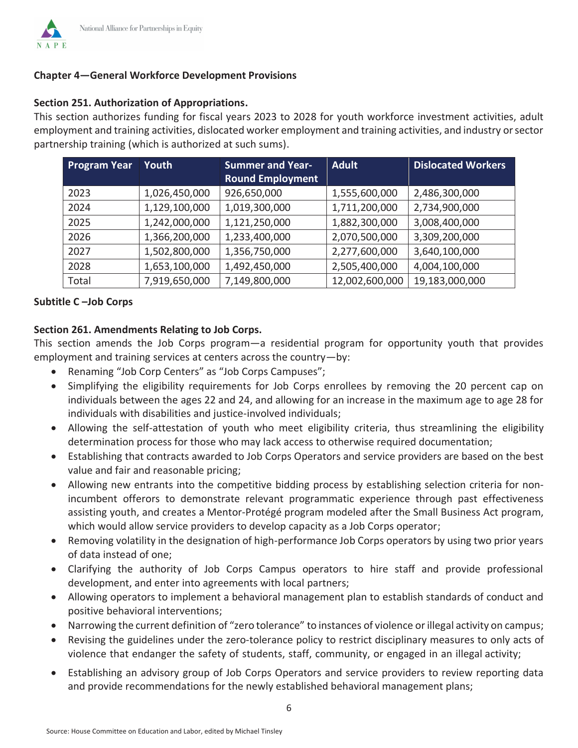# **Chapter 4–General Workforce Development Provisions**

## Section 251. Authorization of Appropriations.

This section authorizes funding for fiscal years 2023 to 2028 for youth workforce investment activities, adult employment and training activities, dislocated worker employment and training activities, and industry or sector partnership training (which is authorized at such sums).

| <b>Program Year</b> | Youth         | <b>Summer and Year-</b> | <b>Adult</b>   | <b>Dislocated Workers</b> |
|---------------------|---------------|-------------------------|----------------|---------------------------|
|                     |               | <b>Round Employment</b> |                |                           |
| 2023                | 1,026,450,000 | 926,650,000             | 1,555,600,000  | 2,486,300,000             |
| 2024                | 1,129,100,000 | 1,019,300,000           | 1,711,200,000  | 2,734,900,000             |
| 2025                | 1,242,000,000 | 1,121,250,000           | 1,882,300,000  | 3,008,400,000             |
| 2026                | 1,366,200,000 | 1,233,400,000           | 2,070,500,000  | 3,309,200,000             |
| 2027                | 1,502,800,000 | 1,356,750,000           | 2,277,600,000  | 3,640,100,000             |
| 2028                | 1,653,100,000 | 1,492,450,000           | 2,505,400,000  | 4,004,100,000             |
| Total               | 7,919,650,000 | 7,149,800,000           | 12,002,600,000 | 19,183,000,000            |

# Subtitle C-Job Corps

# Section 261. Amendments Relating to Job Corps.

This section amends the Job Corps program—a residential program for opportunity youth that provides employment and training services at centers across the country-by:

- Renaming "Job Corp Centers" as "Job Corps Campuses";
- Simplifying the eligibility requirements for Job Corps enrollees by removing the 20 percent cap on individuals between the ages 22 and 24, and allowing for an increase in the maximum age to age 28 for individuals with disabilities and justice-involved individuals;
- Allowing the self-attestation of youth who meet eligibility criteria, thus streamlining the eligibility determination process for those who may lack access to otherwise required documentation;
- Establishing that contracts awarded to Job Corps Operators and service providers are based on the best value and fair and reasonable pricing;
- Allowing new entrants into the competitive bidding process by establishing selection criteria for nonincumbent offerors to demonstrate relevant programmatic experience through past effectiveness assisting youth, and creates a Mentor-Protégé program modeled after the Small Business Act program, which would allow service providers to develop capacity as a Job Corps operator;
- Removing volatility in the designation of high-performance Job Corps operators by using two prior years of data instead of one;
- Clarifying the authority of Job Corps Campus operators to hire staff and provide professional development, and enter into agreements with local partners;
- Allowing operators to implement a behavioral management plan to establish standards of conduct and positive behavioral interventions;
- Narrowing the current definition of "zero tolerance" to instances of violence or illegal activity on campus;
- Revising the guidelines under the zero-tolerance policy to restrict disciplinary measures to only acts of violence that endanger the safety of students, staff, community, or engaged in an illegal activity;
- Establishing an advisory group of Job Corps Operators and service providers to review reporting data and provide recommendations for the newly established behavioral management plans;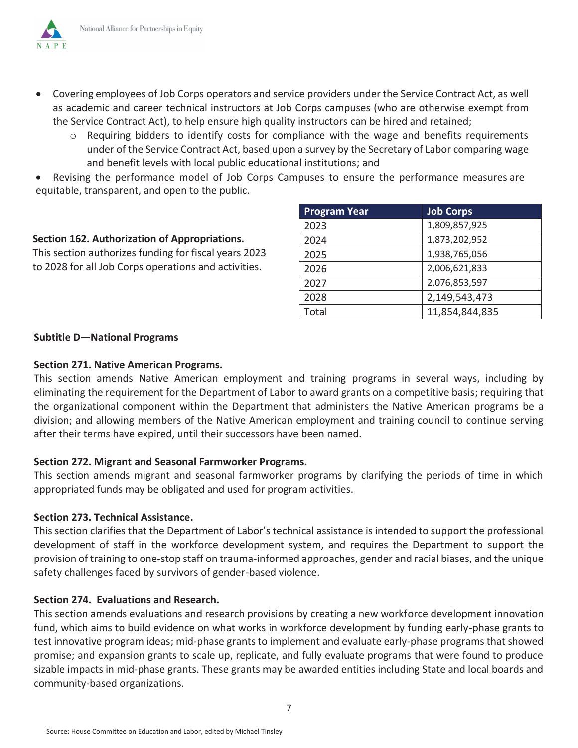N A P E

- Covering employees of Job Corps operators and service providers under the Service Contract Act, as well as academic and career technical instructors at Job Corps campuses (who are otherwise exempt from the Service Contract Act), to help ensure high quality instructors can be hired and retained;
	- o Requiring bidders to identify costs for compliance with the wage and benefits requirements under of the Service Contract Act, based upon a survey by the Secretary of Labor comparing wage and benefit levels with local public educational institutions; and

Revising the performance model of Job Corps Campuses to ensure the performance measures are  $\bullet$ equitable, transparent, and open to the public.

#### Section 162. Authorization of Appropriations.

This section authorizes funding for fiscal years 2023 to 2028 for all Job Corps operations and activities.

| <b>Program Year</b> | <b>Job Corps</b> |
|---------------------|------------------|
| 2023                | 1,809,857,925    |
| 2024                | 1,873,202,952    |
| 2025                | 1,938,765,056    |
| 2026                | 2,006,621,833    |
| 2027                | 2,076,853,597    |
| 2028                | 2,149,543,473    |
| Total               | 11,854,844,835   |

#### **Subtitle D-National Programs**

### **Section 271. Native American Programs.**

This section amends Native American employment and training programs in several ways, including by eliminating the requirement for the Department of Labor to award grants on a competitive basis; requiring that the organizational component within the Department that administers the Native American programs be a division; and allowing members of the Native American employment and training council to continue serving after their terms have expired, until their successors have been named.

# Section 272. Migrant and Seasonal Farmworker Programs.

This section amends migrant and seasonal farmworker programs by clarifying the periods of time in which appropriated funds may be obligated and used for program activities.

#### Section 273. Technical Assistance.

This section clarifies that the Department of Labor's technical assistance is intended to support the professional development of staff in the workforce development system, and requires the Department to support the provision of training to one-stop staff on trauma-informed approaches, gender and racial biases, and the unique safety challenges faced by survivors of gender-based violence.

#### Section 274. Evaluations and Research.

This section amends evaluations and research provisions by creating a new workforce development innovation fund, which aims to build evidence on what works in workforce development by funding early-phase grants to test innovative program ideas; mid-phase grants to implement and evaluate early-phase programs that showed promise; and expansion grants to scale up, replicate, and fully evaluate programs that were found to produce sizable impacts in mid-phase grants. These grants may be awarded entities including State and local boards and community-based organizations.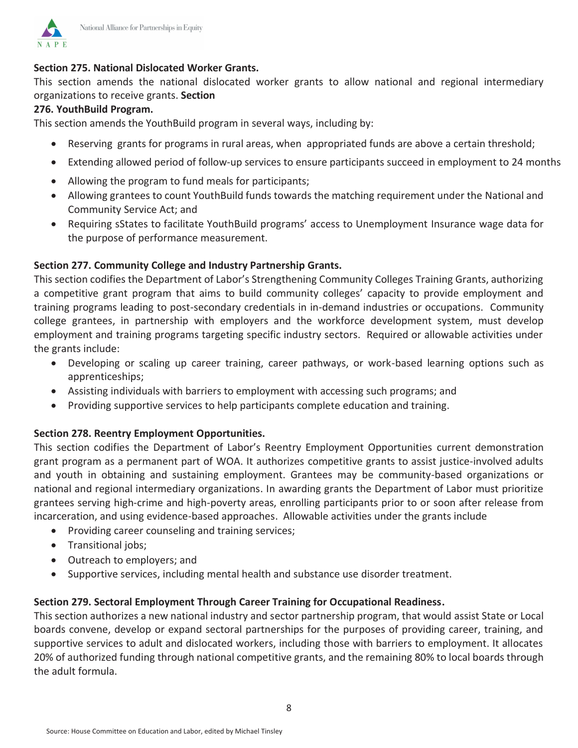

# **Section 275. National Dislocated Worker Grants.**

This section amends the national dislocated worker grants to allow national and regional intermediary organizations to receive grants. Section

#### **276. YouthBuild Program.**

This section amends the YouthBuild program in several ways, including by:

- Reserving grants for programs in rural areas, when appropriated funds are above a certain threshold;
- Extending allowed period of follow-up services to ensure participants succeed in employment to 24 months
- Allowing the program to fund meals for participants;
- Allowing grantees to count YouthBuild funds towards the matching requirement under the National and Community Service Act; and
- Requiring sStates to facilitate YouthBuild programs' access to Unemployment Insurance wage data for the purpose of performance measurement.

#### **Section 277. Community College and Industry Partnership Grants.**

This section codifies the Department of Labor's Strengthening Community Colleges Training Grants, authorizing a competitive grant program that aims to build community colleges' capacity to provide employment and training programs leading to post-secondary credentials in in-demand industries or occupations. Community college grantees, in partnership with employers and the workforce development system, must develop employment and training programs targeting specific industry sectors. Required or allowable activities under the grants include:

- Developing or scaling up career training, career pathways, or work-based learning options such as apprenticeships;
- Assisting individuals with barriers to employment with accessing such programs; and
- Providing supportive services to help participants complete education and training.

#### **Section 278. Reentry Employment Opportunities.**

This section codifies the Department of Labor's Reentry Employment Opportunities current demonstration grant program as a permanent part of WOA. It authorizes competitive grants to assist justice-involved adults and youth in obtaining and sustaining employment. Grantees may be community-based organizations or national and regional intermediary organizations. In awarding grants the Department of Labor must prioritize grantees serving high-crime and high-poverty areas, enrolling participants prior to or soon after release from incarceration, and using evidence-based approaches. Allowable activities under the grants include

- Providing career counseling and training services;
- Transitional jobs;
- Outreach to employers; and
- Supportive services, including mental health and substance use disorder treatment.

#### **Section 279. Sectoral Employment Through Career Training for Occupational Readiness.**

This section authorizes a new national industry and sector partnership program, that would assist State or Local boards convene, develop or expand sectoral partnerships for the purposes of providing career, training, and supportive services to adult and dislocated workers, including those with barriers to employment. It allocates 20% of authorized funding through national competitive grants, and the remaining 80% to local boards through the adult formula.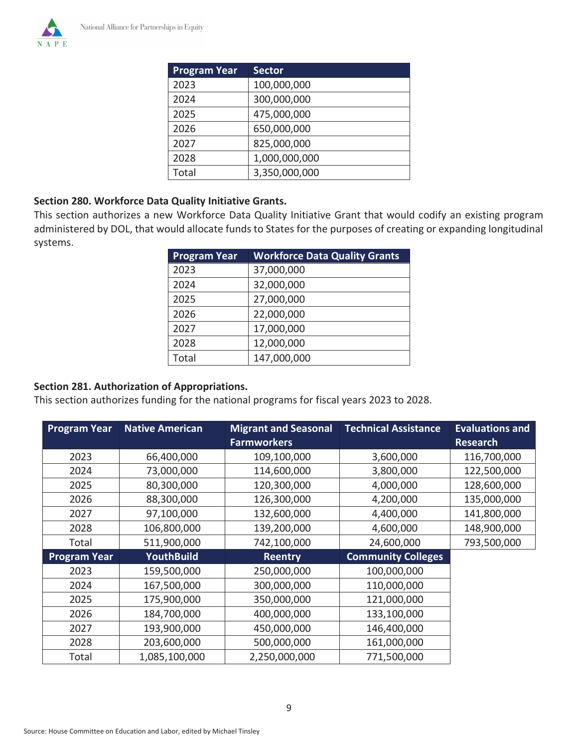

| <b>Program Year</b> | <b>Sector</b> |
|---------------------|---------------|
| 2023                | 100,000,000   |
| 2024                | 300,000,000   |
| 2025                | 475,000,000   |
| 2026                | 650,000,000   |
| 2027                | 825,000,000   |
| 2028                | 1,000,000,000 |
| Total               | 3,350,000,000 |

### **Section 280. Workforce Data Quality Initiative Grants.**

This section authorizes a new Workforce Data Quality Initiative Grant that would codify an existing program administered by DOL, that would allocate funds to States for the purposes of creating or expanding longitudinal systems.

| <b>Program Year</b> | <b>Workforce Data Quality Grants</b> |
|---------------------|--------------------------------------|
| 2023                | 37,000,000                           |
| 2024                | 32,000,000                           |
| 2025                | 27,000,000                           |
| 2026                | 22,000,000                           |
| 2027                | 17,000,000                           |
| 2028                | 12,000,000                           |
| Total               | 147,000,000                          |

# **Section 281. Authorization of Appropriations.**

This section authorizes funding for the national programs for fiscal years 2023 to 2028.

| <b>Program Year</b> | <b>Native American</b> | <b>Migrant and Seasonal</b> | <b>Technical Assistance</b> | <b>Evaluations and</b> |
|---------------------|------------------------|-----------------------------|-----------------------------|------------------------|
|                     |                        | <b>Farmworkers</b>          |                             | <b>Research</b>        |
| 2023                | 66,400,000             | 109,100,000                 | 3,600,000                   | 116,700,000            |
| 2024                | 73,000,000             | 114,600,000                 | 3,800,000                   | 122,500,000            |
| 2025                | 80,300,000             | 120,300,000                 | 4,000,000                   | 128,600,000            |
| 2026                | 88,300,000             | 126,300,000                 | 4,200,000                   | 135,000,000            |
| 2027                | 97,100,000             | 132,600,000                 | 4,400,000                   | 141,800,000            |
| 2028                | 106,800,000            | 139,200,000                 | 4,600,000                   | 148,900,000            |
| Total               | 511,900,000            | 742,100,000                 | 24,600,000                  | 793,500,000            |
| <b>Program Year</b> | <b>YouthBuild</b>      | <b>Reentry</b>              | <b>Community Colleges</b>   |                        |
| 2023                | 159,500,000            | 250,000,000                 | 100,000,000                 |                        |
| 2024                | 167,500,000            | 300,000,000                 | 110,000,000                 |                        |
| 2025                | 175,900,000            | 350,000,000                 | 121,000,000                 |                        |
| 2026                | 184,700,000            | 400,000,000                 | 133,100,000                 |                        |
| 2027                | 193,900,000            | 450,000,000                 | 146,400,000                 |                        |
| 2028                | 203,600,000            | 500,000,000                 | 161,000,000                 |                        |
| Total               | 1,085,100,000          | 2,250,000,000               | 771,500,000                 |                        |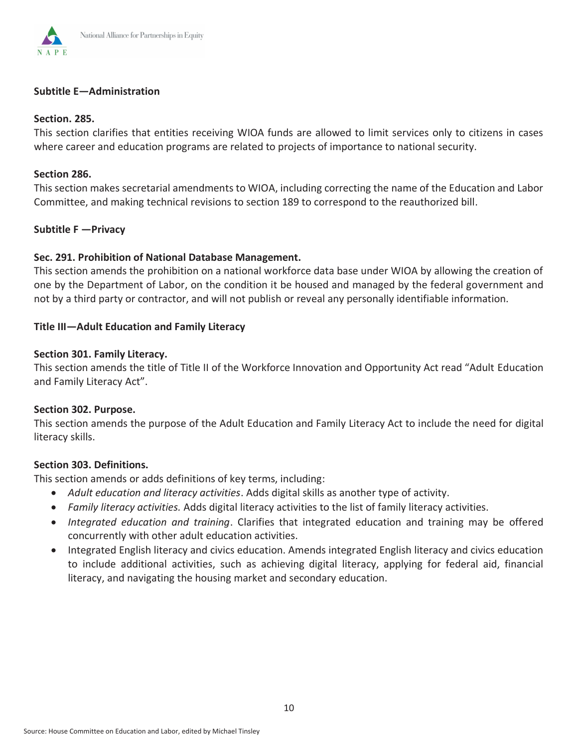

### Subtitle E-Administration

#### Section. 285.

This section clarifies that entities receiving WIOA funds are allowed to limit services only to citizens in cases where career and education programs are related to projects of importance to national security.

#### Section 286.

This section makes secretarial amendments to WIOA, including correcting the name of the Education and Labor Committee, and making technical revisions to section 189 to correspond to the reauthorized bill.

#### Subtitle F - Privacy

### Sec. 291. Prohibition of National Database Management.

This section amends the prohibition on a national workforce data base under WIOA by allowing the creation of one by the Department of Labor, on the condition it be housed and managed by the federal government and not by a third party or contractor, and will not publish or reveal any personally identifiable information.

#### Title III-Adult Education and Family Literacy

#### Section 301. Family Literacy.

This section amends the title of Title II of the Workforce Innovation and Opportunity Act read "Adult Education and Family Literacy Act".

#### Section 302. Purpose.

This section amends the purpose of the Adult Education and Family Literacy Act to include the need for digital literacy skills.

#### Section 303. Definitions.

This section amends or adds definitions of key terms, including:

- Adult education and literacy activities. Adds digital skills as another type of activity.
- Family literacy activities. Adds digital literacy activities to the list of family literacy activities.
- Integrated education and training. Clarifies that integrated education and training may be offered concurrently with other adult education activities.
- Integrated English literacy and civics education. Amends integrated English literacy and civics education to include additional activities, such as achieving digital literacy, applying for federal aid, financial literacy, and navigating the housing market and secondary education.